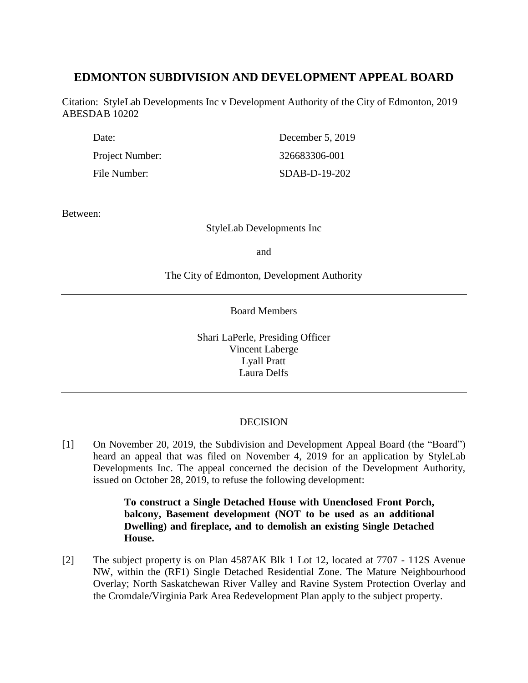# **EDMONTON SUBDIVISION AND DEVELOPMENT APPEAL BOARD**

Citation: StyleLab Developments Inc v Development Authority of the City of Edmonton, 2019 ABESDAB 10202

| Date:           | December 5, 2019 |
|-----------------|------------------|
| Project Number: | 326683306-001    |
| File Number:    | SDAB-D-19-202    |

Between:

StyleLab Developments Inc

and

The City of Edmonton, Development Authority

Board Members

Shari LaPerle, Presiding Officer Vincent Laberge Lyall Pratt Laura Delfs

# DECISION

[1] On November 20, 2019, the Subdivision and Development Appeal Board (the "Board") heard an appeal that was filed on November 4, 2019 for an application by StyleLab Developments Inc. The appeal concerned the decision of the Development Authority, issued on October 28, 2019, to refuse the following development:

> **To construct a Single Detached House with Unenclosed Front Porch, balcony, Basement development (NOT to be used as an additional Dwelling) and fireplace, and to demolish an existing Single Detached House.**

[2] The subject property is on Plan 4587AK Blk 1 Lot 12, located at 7707 - 112S Avenue NW, within the (RF1) Single Detached Residential Zone. The Mature Neighbourhood Overlay; North Saskatchewan River Valley and Ravine System Protection Overlay and the Cromdale/Virginia Park Area Redevelopment Plan apply to the subject property.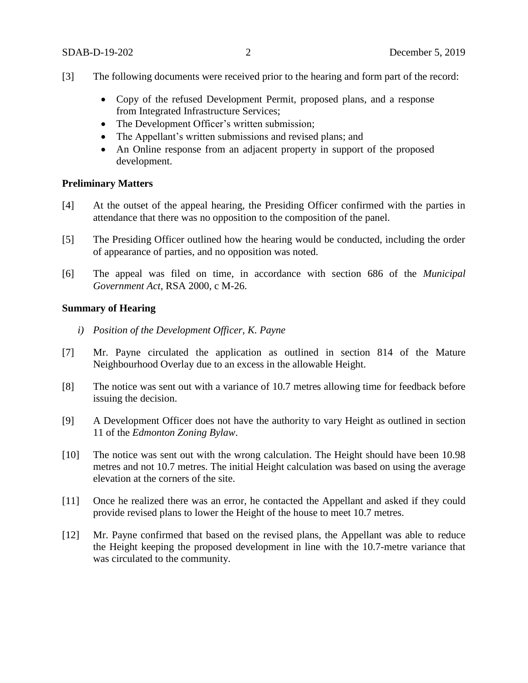- [3] The following documents were received prior to the hearing and form part of the record:
	- Copy of the refused Development Permit, proposed plans, and a response from Integrated Infrastructure Services;
	- The Development Officer's written submission;
	- The Appellant's written submissions and revised plans; and
	- An Online response from an adjacent property in support of the proposed development.

### **Preliminary Matters**

- [4] At the outset of the appeal hearing, the Presiding Officer confirmed with the parties in attendance that there was no opposition to the composition of the panel.
- [5] The Presiding Officer outlined how the hearing would be conducted, including the order of appearance of parties, and no opposition was noted.
- [6] The appeal was filed on time, in accordance with section 686 of the *Municipal Government Act*, RSA 2000, c M-26.

## **Summary of Hearing**

- *i) Position of the Development Officer, K. Payne*
- [7] Mr. Payne circulated the application as outlined in section 814 of the Mature Neighbourhood Overlay due to an excess in the allowable Height.
- [8] The notice was sent out with a variance of 10.7 metres allowing time for feedback before issuing the decision.
- [9] A Development Officer does not have the authority to vary Height as outlined in section 11 of the *Edmonton Zoning Bylaw*.
- [10] The notice was sent out with the wrong calculation. The Height should have been 10.98 metres and not 10.7 metres. The initial Height calculation was based on using the average elevation at the corners of the site.
- [11] Once he realized there was an error, he contacted the Appellant and asked if they could provide revised plans to lower the Height of the house to meet 10.7 metres.
- [12] Mr. Payne confirmed that based on the revised plans, the Appellant was able to reduce the Height keeping the proposed development in line with the 10.7-metre variance that was circulated to the community.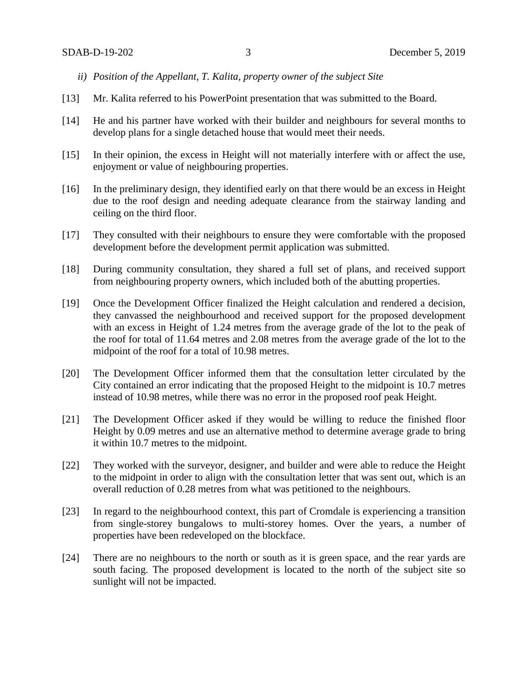- *ii) Position of the Appellant, T. Kalita, property owner of the subject Site*
- [13] Mr. Kalita referred to his PowerPoint presentation that was submitted to the Board.
- [14] He and his partner have worked with their builder and neighbours for several months to develop plans for a single detached house that would meet their needs.
- [15] In their opinion, the excess in Height will not materially interfere with or affect the use, enjoyment or value of neighbouring properties.
- [16] In the preliminary design, they identified early on that there would be an excess in Height due to the roof design and needing adequate clearance from the stairway landing and ceiling on the third floor.
- [17] They consulted with their neighbours to ensure they were comfortable with the proposed development before the development permit application was submitted.
- [18] During community consultation, they shared a full set of plans, and received support from neighbouring property owners, which included both of the abutting properties.
- [19] Once the Development Officer finalized the Height calculation and rendered a decision, they canvassed the neighbourhood and received support for the proposed development with an excess in Height of 1.24 metres from the average grade of the lot to the peak of the roof for total of 11.64 metres and 2.08 metres from the average grade of the lot to the midpoint of the roof for a total of 10.98 metres.
- [20] The Development Officer informed them that the consultation letter circulated by the City contained an error indicating that the proposed Height to the midpoint is 10.7 metres instead of 10.98 metres, while there was no error in the proposed roof peak Height.
- [21] The Development Officer asked if they would be willing to reduce the finished floor Height by 0.09 metres and use an alternative method to determine average grade to bring it within 10.7 metres to the midpoint.
- [22] They worked with the surveyor, designer, and builder and were able to reduce the Height to the midpoint in order to align with the consultation letter that was sent out, which is an overall reduction of 0.28 metres from what was petitioned to the neighbours.
- [23] In regard to the neighbourhood context, this part of Cromdale is experiencing a transition from single-storey bungalows to multi-storey homes. Over the years, a number of properties have been redeveloped on the blockface.
- [24] There are no neighbours to the north or south as it is green space, and the rear yards are south facing. The proposed development is located to the north of the subject site so sunlight will not be impacted.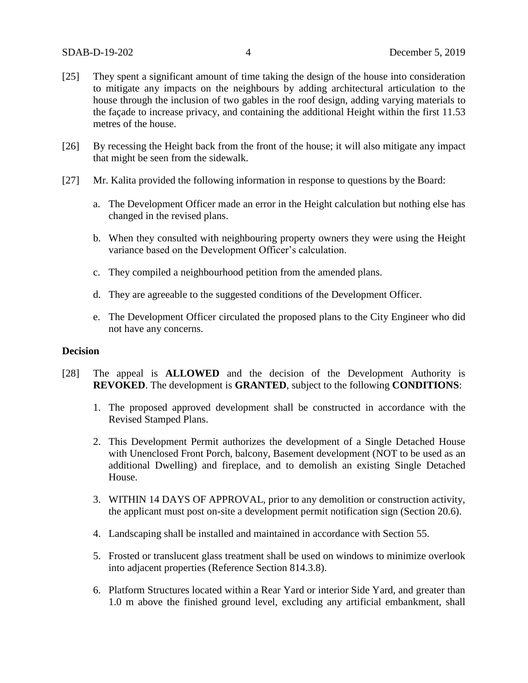- [25] They spent a significant amount of time taking the design of the house into consideration to mitigate any impacts on the neighbours by adding architectural articulation to the house through the inclusion of two gables in the roof design, adding varying materials to the façade to increase privacy, and containing the additional Height within the first 11.53 metres of the house.
- [26] By recessing the Height back from the front of the house; it will also mitigate any impact that might be seen from the sidewalk.
- [27] Mr. Kalita provided the following information in response to questions by the Board:
	- a. The Development Officer made an error in the Height calculation but nothing else has changed in the revised plans.
	- b. When they consulted with neighbouring property owners they were using the Height variance based on the Development Officer's calculation.
	- c. They compiled a neighbourhood petition from the amended plans.
	- d. They are agreeable to the suggested conditions of the Development Officer.
	- e. The Development Officer circulated the proposed plans to the City Engineer who did not have any concerns.

## **Decision**

- [28] The appeal is **ALLOWED** and the decision of the Development Authority is **REVOKED**. The development is **GRANTED**, subject to the following **CONDITIONS**:
	- 1. The proposed approved development shall be constructed in accordance with the Revised Stamped Plans.
	- 2. This Development Permit authorizes the development of a Single Detached House with Unenclosed Front Porch, balcony, Basement development (NOT to be used as an additional Dwelling) and fireplace, and to demolish an existing Single Detached House.
	- 3. WITHIN 14 DAYS OF APPROVAL, prior to any demolition or construction activity, the applicant must post on-site a development permit notification sign (Section 20.6).
	- 4. Landscaping shall be installed and maintained in accordance with Section 55.
	- 5. Frosted or translucent glass treatment shall be used on windows to minimize overlook into adjacent properties (Reference Section 814.3.8).
	- 6. Platform Structures located within a Rear Yard or interior Side Yard, and greater than 1.0 m above the finished ground level, excluding any artificial embankment, shall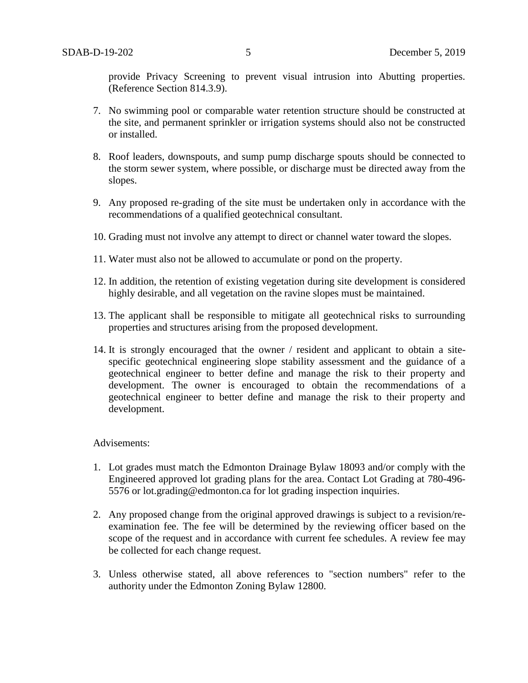provide Privacy Screening to prevent visual intrusion into Abutting properties. (Reference Section 814.3.9).

- 7. No swimming pool or comparable water retention structure should be constructed at the site, and permanent sprinkler or irrigation systems should also not be constructed or installed.
- 8. Roof leaders, downspouts, and sump pump discharge spouts should be connected to the storm sewer system, where possible, or discharge must be directed away from the slopes.
- 9. Any proposed re-grading of the site must be undertaken only in accordance with the recommendations of a qualified geotechnical consultant.
- 10. Grading must not involve any attempt to direct or channel water toward the slopes.
- 11. Water must also not be allowed to accumulate or pond on the property.
- 12. In addition, the retention of existing vegetation during site development is considered highly desirable, and all vegetation on the ravine slopes must be maintained.
- 13. The applicant shall be responsible to mitigate all geotechnical risks to surrounding properties and structures arising from the proposed development.
- 14. It is strongly encouraged that the owner / resident and applicant to obtain a sitespecific geotechnical engineering slope stability assessment and the guidance of a geotechnical engineer to better define and manage the risk to their property and development. The owner is encouraged to obtain the recommendations of a geotechnical engineer to better define and manage the risk to their property and development.

#### Advisements:

- 1. Lot grades must match the Edmonton Drainage Bylaw 18093 and/or comply with the Engineered approved lot grading plans for the area. Contact Lot Grading at 780-496- 5576 or lot.grading@edmonton.ca for lot grading inspection inquiries.
- 2. Any proposed change from the original approved drawings is subject to a revision/reexamination fee. The fee will be determined by the reviewing officer based on the scope of the request and in accordance with current fee schedules. A review fee may be collected for each change request.
- 3. Unless otherwise stated, all above references to "section numbers" refer to the authority under the Edmonton Zoning Bylaw 12800.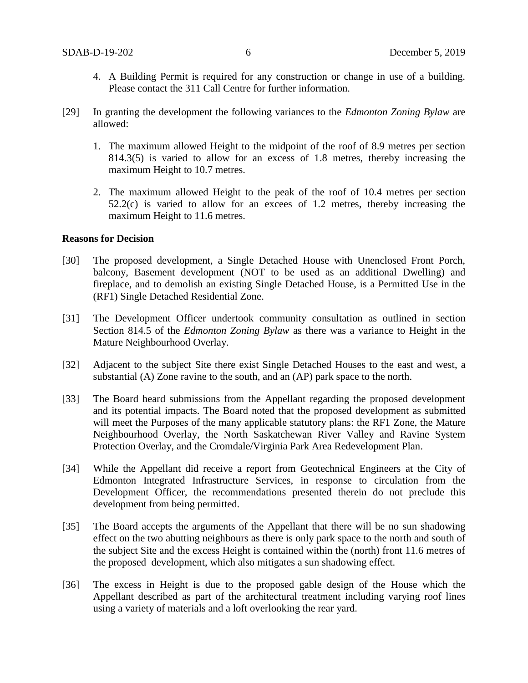- 4. A Building Permit is required for any construction or change in use of a building. Please contact the 311 Call Centre for further information.
- [29] In granting the development the following variances to the *Edmonton Zoning Bylaw* are allowed:
	- 1. The maximum allowed Height to the midpoint of the roof of 8.9 metres per section 814.3(5) is varied to allow for an excess of 1.8 metres, thereby increasing the maximum Height to 10.7 metres.
	- 2. The maximum allowed Height to the peak of the roof of 10.4 metres per section 52.2(c) is varied to allow for an excees of 1.2 metres, thereby increasing the maximum Height to 11.6 metres.

## **Reasons for Decision**

- [30] The proposed development, a Single Detached House with Unenclosed Front Porch, balcony, Basement development (NOT to be used as an additional Dwelling) and fireplace, and to demolish an existing Single Detached House, is a Permitted Use in the (RF1) Single Detached Residential Zone.
- [31] The Development Officer undertook community consultation as outlined in section Section 814.5 of the *Edmonton Zoning Bylaw* as there was a variance to Height in the Mature Neighbourhood Overlay.
- [32] Adjacent to the subject Site there exist Single Detached Houses to the east and west, a substantial (A) Zone ravine to the south, and an (AP) park space to the north.
- [33] The Board heard submissions from the Appellant regarding the proposed development and its potential impacts. The Board noted that the proposed development as submitted will meet the Purposes of the many applicable statutory plans: the RF1 Zone, the Mature Neighbourhood Overlay, the North Saskatchewan River Valley and Ravine System Protection Overlay, and the Cromdale/Virginia Park Area Redevelopment Plan.
- [34] While the Appellant did receive a report from Geotechnical Engineers at the City of Edmonton Integrated Infrastructure Services, in response to circulation from the Development Officer, the recommendations presented therein do not preclude this development from being permitted.
- [35] The Board accepts the arguments of the Appellant that there will be no sun shadowing effect on the two abutting neighbours as there is only park space to the north and south of the subject Site and the excess Height is contained within the (north) front 11.6 metres of the proposed development, which also mitigates a sun shadowing effect.
- [36] The excess in Height is due to the proposed gable design of the House which the Appellant described as part of the architectural treatment including varying roof lines using a variety of materials and a loft overlooking the rear yard.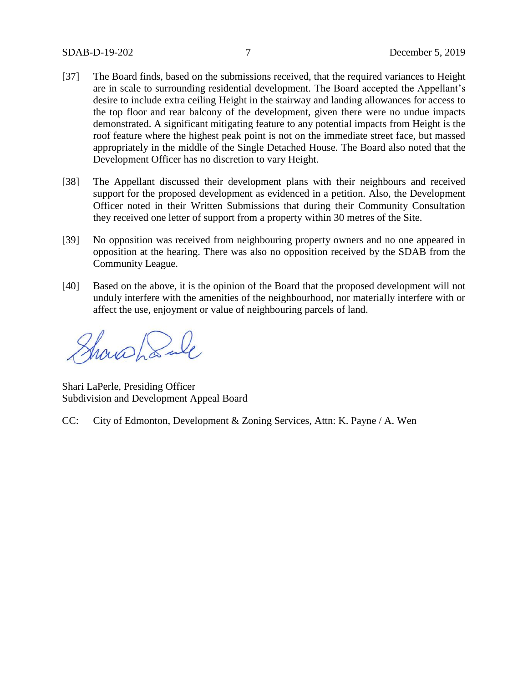- [37] The Board finds, based on the submissions received, that the required variances to Height are in scale to surrounding residential development. The Board accepted the Appellant's desire to include extra ceiling Height in the stairway and landing allowances for access to the top floor and rear balcony of the development, given there were no undue impacts demonstrated. A significant mitigating feature to any potential impacts from Height is the roof feature where the highest peak point is not on the immediate street face, but massed appropriately in the middle of the Single Detached House. The Board also noted that the Development Officer has no discretion to vary Height.
- [38] The Appellant discussed their development plans with their neighbours and received support for the proposed development as evidenced in a petition. Also, the Development Officer noted in their Written Submissions that during their Community Consultation they received one letter of support from a property within 30 metres of the Site.
- [39] No opposition was received from neighbouring property owners and no one appeared in opposition at the hearing. There was also no opposition received by the SDAB from the Community League.
- [40] Based on the above, it is the opinion of the Board that the proposed development will not unduly interfere with the amenities of the neighbourhood, nor materially interfere with or affect the use, enjoyment or value of neighbouring parcels of land.

Showshank

Shari LaPerle, Presiding Officer Subdivision and Development Appeal Board

CC: City of Edmonton, Development & Zoning Services, Attn: K. Payne / A. Wen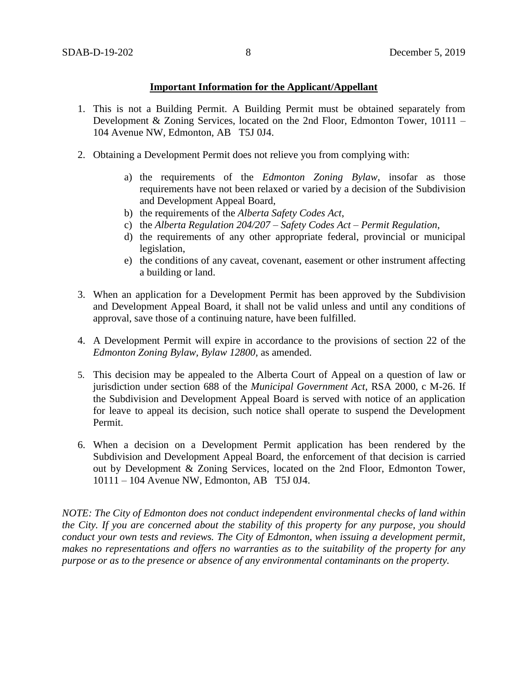## **Important Information for the Applicant/Appellant**

- 1. This is not a Building Permit. A Building Permit must be obtained separately from Development & Zoning Services, located on the 2nd Floor, Edmonton Tower, 10111 – 104 Avenue NW, Edmonton, AB T5J 0J4.
- 2. Obtaining a Development Permit does not relieve you from complying with:
	- a) the requirements of the *Edmonton Zoning Bylaw*, insofar as those requirements have not been relaxed or varied by a decision of the Subdivision and Development Appeal Board,
	- b) the requirements of the *Alberta Safety Codes Act*,
	- c) the *Alberta Regulation 204/207 – Safety Codes Act – Permit Regulation*,
	- d) the requirements of any other appropriate federal, provincial or municipal legislation,
	- e) the conditions of any caveat, covenant, easement or other instrument affecting a building or land.
- 3. When an application for a Development Permit has been approved by the Subdivision and Development Appeal Board, it shall not be valid unless and until any conditions of approval, save those of a continuing nature, have been fulfilled.
- 4. A Development Permit will expire in accordance to the provisions of section 22 of the *Edmonton Zoning Bylaw, Bylaw 12800*, as amended.
- 5. This decision may be appealed to the Alberta Court of Appeal on a question of law or jurisdiction under section 688 of the *Municipal Government Act*, RSA 2000, c M-26. If the Subdivision and Development Appeal Board is served with notice of an application for leave to appeal its decision, such notice shall operate to suspend the Development Permit.
- 6. When a decision on a Development Permit application has been rendered by the Subdivision and Development Appeal Board, the enforcement of that decision is carried out by Development & Zoning Services, located on the 2nd Floor, Edmonton Tower, 10111 – 104 Avenue NW, Edmonton, AB T5J 0J4.

*NOTE: The City of Edmonton does not conduct independent environmental checks of land within the City. If you are concerned about the stability of this property for any purpose, you should conduct your own tests and reviews. The City of Edmonton, when issuing a development permit, makes no representations and offers no warranties as to the suitability of the property for any purpose or as to the presence or absence of any environmental contaminants on the property.*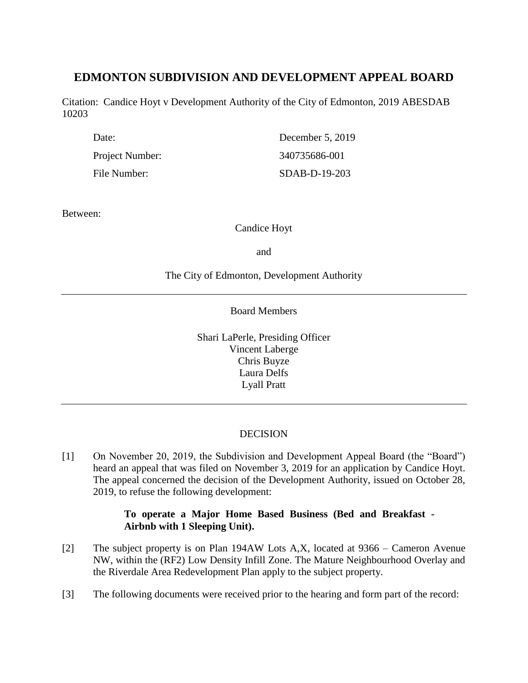# **EDMONTON SUBDIVISION AND DEVELOPMENT APPEAL BOARD**

Citation: Candice Hoyt v Development Authority of the City of Edmonton, 2019 ABESDAB 10203

| Date:           | December 5, 2019 |
|-----------------|------------------|
| Project Number: | 340735686-001    |
| File Number:    | $SDAB-D-19-203$  |

Between:

Candice Hoyt

and

## The City of Edmonton, Development Authority

Board Members

Shari LaPerle, Presiding Officer Vincent Laberge Chris Buyze Laura Delfs Lyall Pratt

# DECISION

[1] On November 20, 2019, the Subdivision and Development Appeal Board (the "Board") heard an appeal that was filed on November 3, 2019 for an application by Candice Hoyt. The appeal concerned the decision of the Development Authority, issued on October 28, 2019, to refuse the following development:

# **To operate a Major Home Based Business (Bed and Breakfast - Airbnb with 1 Sleeping Unit).**

- [2] The subject property is on Plan 194AW Lots A,X, located at 9366 Cameron Avenue NW, within the (RF2) Low Density Infill Zone. The Mature Neighbourhood Overlay and the Riverdale Area Redevelopment Plan apply to the subject property.
- [3] The following documents were received prior to the hearing and form part of the record: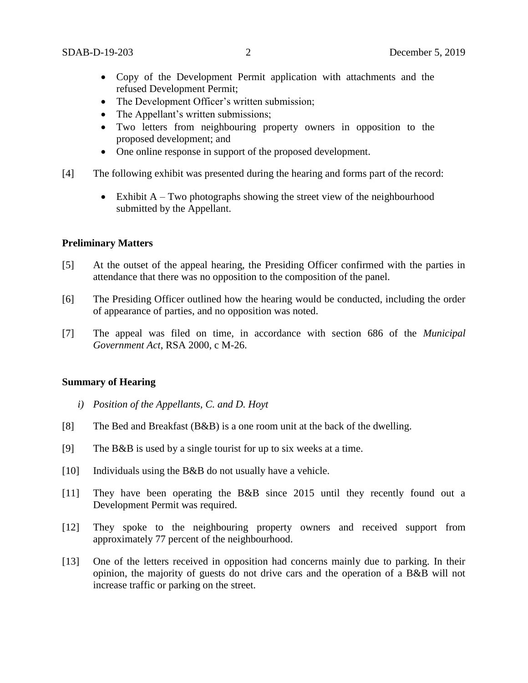- Copy of the Development Permit application with attachments and the refused Development Permit;
- The Development Officer's written submission;
- The Appellant's written submissions;
- Two letters from neighbouring property owners in opposition to the proposed development; and
- One online response in support of the proposed development.
- [4] The following exhibit was presented during the hearing and forms part of the record:
	- $\bullet$  Exhibit A Two photographs showing the street view of the neighbourhood submitted by the Appellant.

### **Preliminary Matters**

- [5] At the outset of the appeal hearing, the Presiding Officer confirmed with the parties in attendance that there was no opposition to the composition of the panel.
- [6] The Presiding Officer outlined how the hearing would be conducted, including the order of appearance of parties, and no opposition was noted.
- [7] The appeal was filed on time, in accordance with section 686 of the *Municipal Government Act*, RSA 2000, c M-26.

#### **Summary of Hearing**

- *i) Position of the Appellants, C. and D. Hoyt*
- [8] The Bed and Breakfast (B&B) is a one room unit at the back of the dwelling.
- [9] The B&B is used by a single tourist for up to six weeks at a time.
- [10] Individuals using the B&B do not usually have a vehicle.
- [11] They have been operating the B&B since 2015 until they recently found out a Development Permit was required.
- [12] They spoke to the neighbouring property owners and received support from approximately 77 percent of the neighbourhood.
- [13] One of the letters received in opposition had concerns mainly due to parking. In their opinion, the majority of guests do not drive cars and the operation of a B&B will not increase traffic or parking on the street.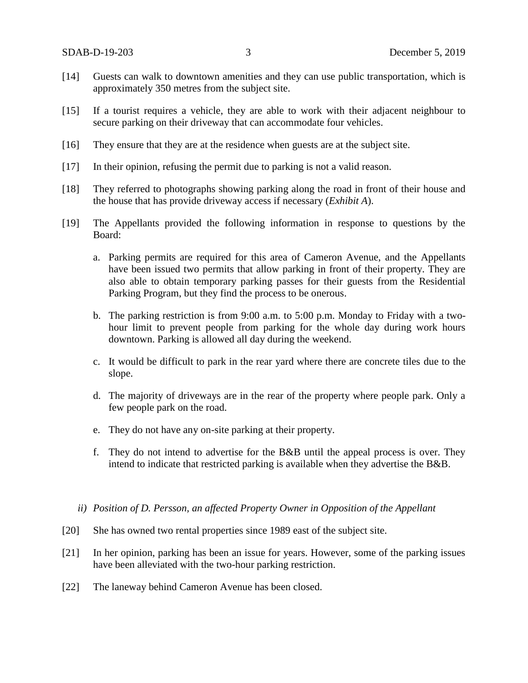- [14] Guests can walk to downtown amenities and they can use public transportation, which is approximately 350 metres from the subject site.
- [15] If a tourist requires a vehicle, they are able to work with their adjacent neighbour to secure parking on their driveway that can accommodate four vehicles.
- [16] They ensure that they are at the residence when guests are at the subject site.
- [17] In their opinion, refusing the permit due to parking is not a valid reason.
- [18] They referred to photographs showing parking along the road in front of their house and the house that has provide driveway access if necessary (*Exhibit A*).
- [19] The Appellants provided the following information in response to questions by the Board:
	- a. Parking permits are required for this area of Cameron Avenue, and the Appellants have been issued two permits that allow parking in front of their property. They are also able to obtain temporary parking passes for their guests from the Residential Parking Program, but they find the process to be onerous.
	- b. The parking restriction is from 9:00 a.m. to 5:00 p.m. Monday to Friday with a twohour limit to prevent people from parking for the whole day during work hours downtown. Parking is allowed all day during the weekend.
	- c. It would be difficult to park in the rear yard where there are concrete tiles due to the slope.
	- d. The majority of driveways are in the rear of the property where people park. Only a few people park on the road.
	- e. They do not have any on-site parking at their property.
	- f. They do not intend to advertise for the B&B until the appeal process is over. They intend to indicate that restricted parking is available when they advertise the B&B.
	- *ii) Position of D. Persson, an affected Property Owner in Opposition of the Appellant*
- [20] She has owned two rental properties since 1989 east of the subject site.
- [21] In her opinion, parking has been an issue for years. However, some of the parking issues have been alleviated with the two-hour parking restriction.
- [22] The laneway behind Cameron Avenue has been closed.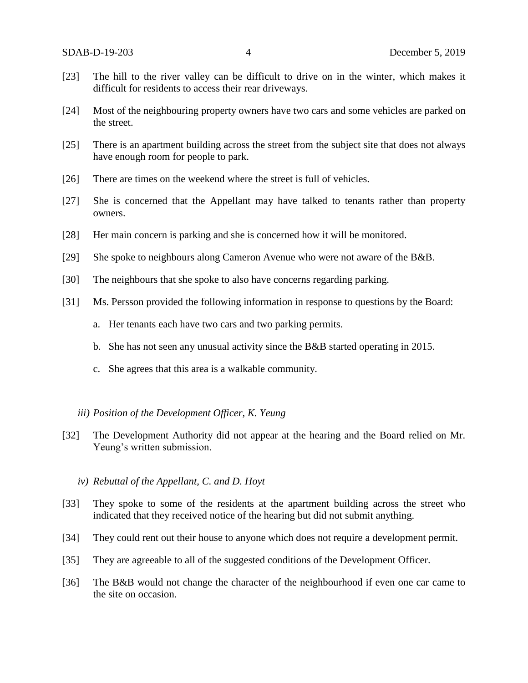- [23] The hill to the river valley can be difficult to drive on in the winter, which makes it difficult for residents to access their rear driveways.
- [24] Most of the neighbouring property owners have two cars and some vehicles are parked on the street.
- [25] There is an apartment building across the street from the subject site that does not always have enough room for people to park.
- [26] There are times on the weekend where the street is full of vehicles.
- [27] She is concerned that the Appellant may have talked to tenants rather than property owners.
- [28] Her main concern is parking and she is concerned how it will be monitored.
- [29] She spoke to neighbours along Cameron Avenue who were not aware of the B&B.
- [30] The neighbours that she spoke to also have concerns regarding parking.
- [31] Ms. Persson provided the following information in response to questions by the Board:
	- a. Her tenants each have two cars and two parking permits.
	- b. She has not seen any unusual activity since the B&B started operating in 2015.
	- c. She agrees that this area is a walkable community.

#### *iii) Position of the Development Officer, K. Yeung*

- [32] The Development Authority did not appear at the hearing and the Board relied on Mr. Yeung's written submission.
	- *iv) Rebuttal of the Appellant, C. and D. Hoyt*
- [33] They spoke to some of the residents at the apartment building across the street who indicated that they received notice of the hearing but did not submit anything.
- [34] They could rent out their house to anyone which does not require a development permit.
- [35] They are agreeable to all of the suggested conditions of the Development Officer.
- [36] The B&B would not change the character of the neighbourhood if even one car came to the site on occasion.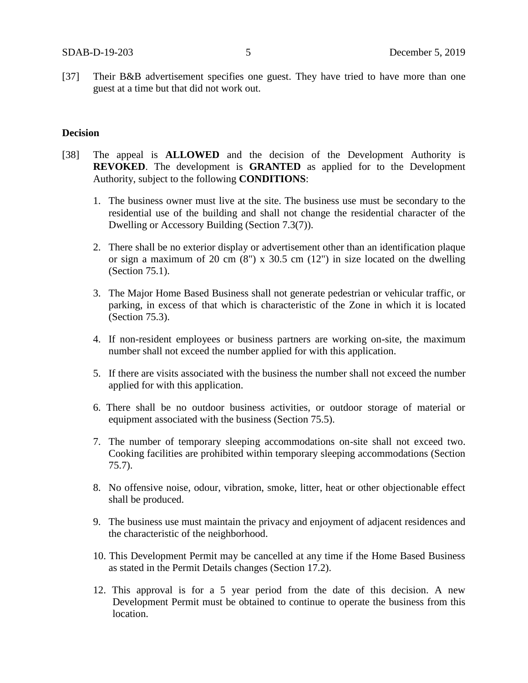[37] Their B&B advertisement specifies one guest. They have tried to have more than one guest at a time but that did not work out.

## **Decision**

- [38] The appeal is **ALLOWED** and the decision of the Development Authority is **REVOKED**. The development is **GRANTED** as applied for to the Development Authority, subject to the following **CONDITIONS**:
	- 1. The business owner must live at the site. The business use must be secondary to the residential use of the building and shall not change the residential character of the Dwelling or Accessory Building (Section 7.3(7)).
	- 2. There shall be no exterior display or advertisement other than an identification plaque or sign a maximum of 20 cm  $(8)$  x 30.5 cm  $(12)$  in size located on the dwelling (Section 75.1).
	- 3. The Major Home Based Business shall not generate pedestrian or vehicular traffic, or parking, in excess of that which is characteristic of the Zone in which it is located (Section 75.3).
	- 4. If non-resident employees or business partners are working on-site, the maximum number shall not exceed the number applied for with this application.
	- 5. If there are visits associated with the business the number shall not exceed the number applied for with this application.
	- 6. There shall be no outdoor business activities, or outdoor storage of material or equipment associated with the business (Section 75.5).
	- 7. The number of temporary sleeping accommodations on-site shall not exceed two. Cooking facilities are prohibited within temporary sleeping accommodations (Section 75.7).
	- 8. No offensive noise, odour, vibration, smoke, litter, heat or other objectionable effect shall be produced.
	- 9. The business use must maintain the privacy and enjoyment of adjacent residences and the characteristic of the neighborhood.
	- 10. This Development Permit may be cancelled at any time if the Home Based Business as stated in the Permit Details changes (Section 17.2).
	- 12. This approval is for a 5 year period from the date of this decision. A new Development Permit must be obtained to continue to operate the business from this location.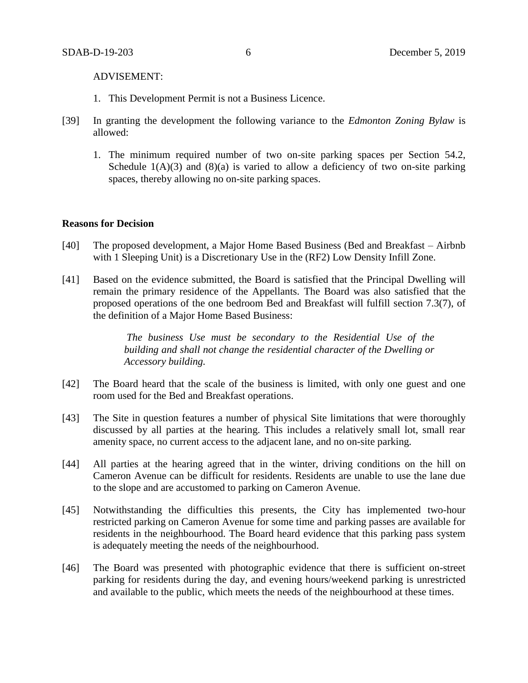ADVISEMENT:

- 1. This Development Permit is not a Business Licence.
- [39] In granting the development the following variance to the *Edmonton Zoning Bylaw* is allowed:
	- 1. The minimum required number of two on-site parking spaces per Section 54.2, Schedule  $1(A)(3)$  and  $(8)(a)$  is varied to allow a deficiency of two on-site parking spaces, thereby allowing no on-site parking spaces.

### **Reasons for Decision**

- [40] The proposed development, a Major Home Based Business (Bed and Breakfast Airbnb with 1 Sleeping Unit) is a Discretionary Use in the (RF2) Low Density Infill Zone.
- [41] Based on the evidence submitted, the Board is satisfied that the Principal Dwelling will remain the primary residence of the Appellants. The Board was also satisfied that the proposed operations of the one bedroom Bed and Breakfast will fulfill section 7.3(7), of the definition of a Major Home Based Business:

*The business Use must be secondary to the Residential Use of the building and shall not change the residential character of the Dwelling or Accessory building.*

- [42] The Board heard that the scale of the business is limited, with only one guest and one room used for the Bed and Breakfast operations.
- [43] The Site in question features a number of physical Site limitations that were thoroughly discussed by all parties at the hearing. This includes a relatively small lot, small rear amenity space, no current access to the adjacent lane, and no on-site parking.
- [44] All parties at the hearing agreed that in the winter, driving conditions on the hill on Cameron Avenue can be difficult for residents. Residents are unable to use the lane due to the slope and are accustomed to parking on Cameron Avenue.
- [45] Notwithstanding the difficulties this presents, the City has implemented two-hour restricted parking on Cameron Avenue for some time and parking passes are available for residents in the neighbourhood. The Board heard evidence that this parking pass system is adequately meeting the needs of the neighbourhood.
- [46] The Board was presented with photographic evidence that there is sufficient on-street parking for residents during the day, and evening hours/weekend parking is unrestricted and available to the public, which meets the needs of the neighbourhood at these times.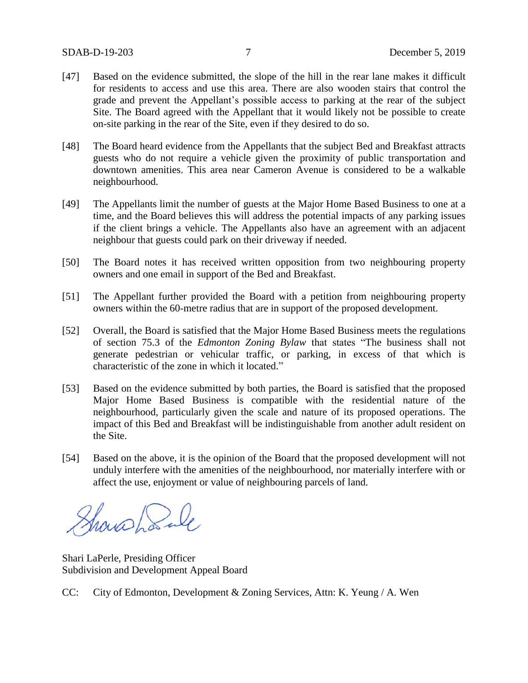- [47] Based on the evidence submitted, the slope of the hill in the rear lane makes it difficult for residents to access and use this area. There are also wooden stairs that control the grade and prevent the Appellant's possible access to parking at the rear of the subject Site. The Board agreed with the Appellant that it would likely not be possible to create on-site parking in the rear of the Site, even if they desired to do so.
- [48] The Board heard evidence from the Appellants that the subject Bed and Breakfast attracts guests who do not require a vehicle given the proximity of public transportation and downtown amenities. This area near Cameron Avenue is considered to be a walkable neighbourhood.
- [49] The Appellants limit the number of guests at the Major Home Based Business to one at a time, and the Board believes this will address the potential impacts of any parking issues if the client brings a vehicle. The Appellants also have an agreement with an adjacent neighbour that guests could park on their driveway if needed.
- [50] The Board notes it has received written opposition from two neighbouring property owners and one email in support of the Bed and Breakfast.
- [51] The Appellant further provided the Board with a petition from neighbouring property owners within the 60-metre radius that are in support of the proposed development.
- [52] Overall, the Board is satisfied that the Major Home Based Business meets the regulations of section 75.3 of the *Edmonton Zoning Bylaw* that states "The business shall not generate pedestrian or vehicular traffic, or parking, in excess of that which is characteristic of the zone in which it located."
- [53] Based on the evidence submitted by both parties, the Board is satisfied that the proposed Major Home Based Business is compatible with the residential nature of the neighbourhood, particularly given the scale and nature of its proposed operations. The impact of this Bed and Breakfast will be indistinguishable from another adult resident on the Site.
- [54] Based on the above, it is the opinion of the Board that the proposed development will not unduly interfere with the amenities of the neighbourhood, nor materially interfere with or affect the use, enjoyment or value of neighbouring parcels of land.

Showshank

Shari LaPerle, Presiding Officer Subdivision and Development Appeal Board

CC: City of Edmonton, Development & Zoning Services, Attn: K. Yeung / A. Wen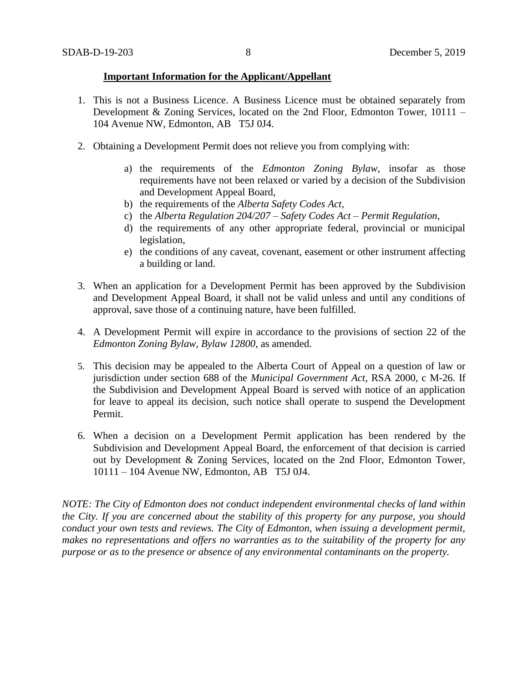#### **Important Information for the Applicant/Appellant**

- 1. This is not a Business Licence. A Business Licence must be obtained separately from Development & Zoning Services, located on the 2nd Floor, Edmonton Tower, 10111 – 104 Avenue NW, Edmonton, AB T5J 0J4.
- 2. Obtaining a Development Permit does not relieve you from complying with:
	- a) the requirements of the *Edmonton Zoning Bylaw*, insofar as those requirements have not been relaxed or varied by a decision of the Subdivision and Development Appeal Board,
	- b) the requirements of the *Alberta Safety Codes Act*,
	- c) the *Alberta Regulation 204/207 – Safety Codes Act – Permit Regulation*,
	- d) the requirements of any other appropriate federal, provincial or municipal legislation,
	- e) the conditions of any caveat, covenant, easement or other instrument affecting a building or land.
- 3. When an application for a Development Permit has been approved by the Subdivision and Development Appeal Board, it shall not be valid unless and until any conditions of approval, save those of a continuing nature, have been fulfilled.
- 4. A Development Permit will expire in accordance to the provisions of section 22 of the *Edmonton Zoning Bylaw, Bylaw 12800*, as amended.
- 5. This decision may be appealed to the Alberta Court of Appeal on a question of law or jurisdiction under section 688 of the *Municipal Government Act*, RSA 2000, c M-26. If the Subdivision and Development Appeal Board is served with notice of an application for leave to appeal its decision, such notice shall operate to suspend the Development Permit.
- 6. When a decision on a Development Permit application has been rendered by the Subdivision and Development Appeal Board, the enforcement of that decision is carried out by Development & Zoning Services, located on the 2nd Floor, Edmonton Tower, 10111 – 104 Avenue NW, Edmonton, AB T5J 0J4.

*NOTE: The City of Edmonton does not conduct independent environmental checks of land within the City. If you are concerned about the stability of this property for any purpose, you should conduct your own tests and reviews. The City of Edmonton, when issuing a development permit, makes no representations and offers no warranties as to the suitability of the property for any purpose or as to the presence or absence of any environmental contaminants on the property.*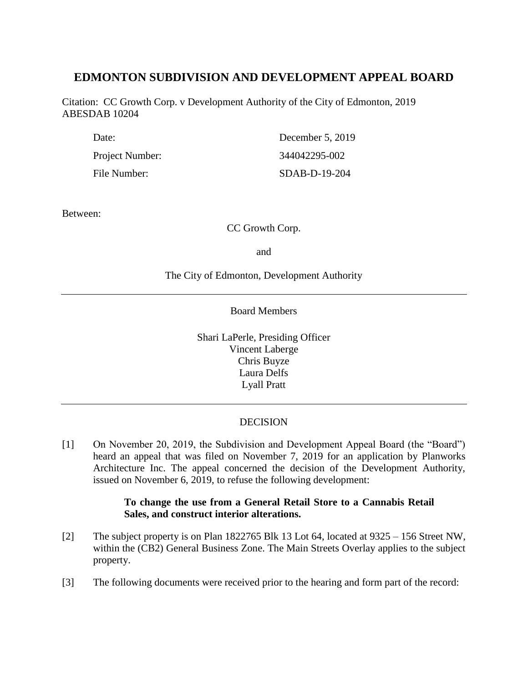# **EDMONTON SUBDIVISION AND DEVELOPMENT APPEAL BOARD**

Citation: CC Growth Corp. v Development Authority of the City of Edmonton, 2019 ABESDAB 10204

| Date:           | December 5, 2019 |
|-----------------|------------------|
| Project Number: | 344042295-002    |
| File Number:    | SDAB-D-19-204    |

Between:

CC Growth Corp.

and

## The City of Edmonton, Development Authority

Board Members

Shari LaPerle, Presiding Officer Vincent Laberge Chris Buyze Laura Delfs Lyall Pratt

# DECISION

[1] On November 20, 2019, the Subdivision and Development Appeal Board (the "Board") heard an appeal that was filed on November 7, 2019 for an application by Planworks Architecture Inc. The appeal concerned the decision of the Development Authority, issued on November 6, 2019, to refuse the following development:

## **To change the use from a General Retail Store to a Cannabis Retail Sales, and construct interior alterations.**

- [2] The subject property is on Plan 1822765 Blk 13 Lot 64, located at 9325 156 Street NW, within the (CB2) General Business Zone. The Main Streets Overlay applies to the subject property.
- [3] The following documents were received prior to the hearing and form part of the record: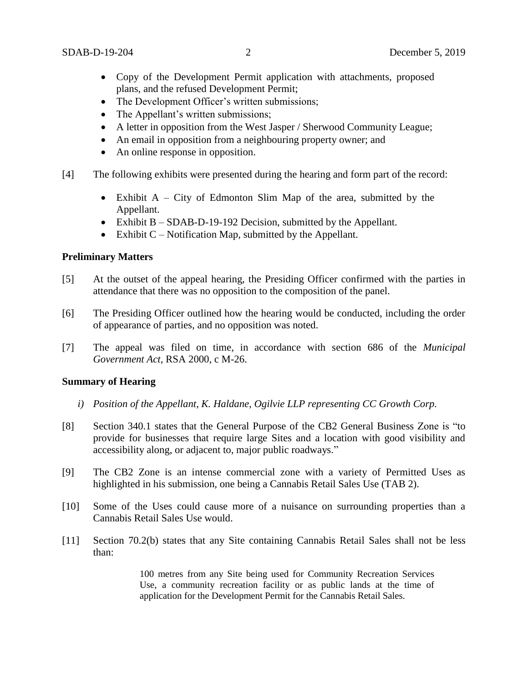- Copy of the Development Permit application with attachments, proposed plans, and the refused Development Permit;
- The Development Officer's written submissions;
- The Appellant's written submissions;
- A letter in opposition from the West Jasper / Sherwood Community League;
- An email in opposition from a neighbouring property owner; and
- An online response in opposition.
- [4] The following exhibits were presented during the hearing and form part of the record:
	- Exhibit A City of Edmonton Slim Map of the area, submitted by the Appellant.
	- Exhibit B SDAB-D-19-192 Decision, submitted by the Appellant.
	- Exhibit  $C$  Notification Map, submitted by the Appellant.

### **Preliminary Matters**

- [5] At the outset of the appeal hearing, the Presiding Officer confirmed with the parties in attendance that there was no opposition to the composition of the panel.
- [6] The Presiding Officer outlined how the hearing would be conducted, including the order of appearance of parties, and no opposition was noted.
- [7] The appeal was filed on time, in accordance with section 686 of the *Municipal Government Act*, RSA 2000, c M-26.

#### **Summary of Hearing**

- *i) Position of the Appellant, K. Haldane, Ogilvie LLP representing CC Growth Corp.*
- [8] Section 340.1 states that the General Purpose of the CB2 General Business Zone is "to provide for businesses that require large Sites and a location with good visibility and accessibility along, or adjacent to, major public roadways."
- [9] The CB2 Zone is an intense commercial zone with a variety of Permitted Uses as highlighted in his submission, one being a Cannabis Retail Sales Use (TAB 2).
- [10] Some of the Uses could cause more of a nuisance on surrounding properties than a Cannabis Retail Sales Use would.
- [11] Section 70.2(b) states that any Site containing Cannabis Retail Sales shall not be less than:

100 metres from any Site being used for Community Recreation Services Use, a community recreation facility or as public lands at the time of application for the Development Permit for the Cannabis Retail Sales.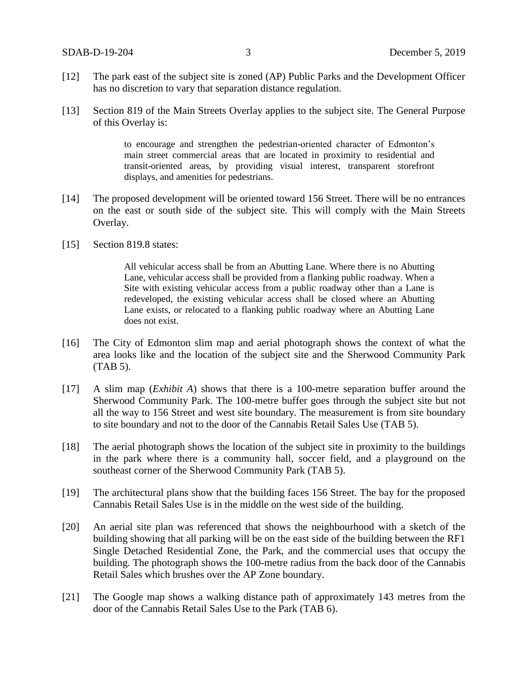- [12] The park east of the subject site is zoned (AP) Public Parks and the Development Officer has no discretion to vary that separation distance regulation.
- [13] Section 819 of the Main Streets Overlay applies to the subject site. The General Purpose of this Overlay is:

to encourage and strengthen the pedestrian-oriented character of Edmonton's main street commercial areas that are located in proximity to residential and transit-oriented areas, by providing visual interest, transparent storefront displays, and amenities for pedestrians.

- [14] The proposed development will be oriented toward 156 Street. There will be no entrances on the east or south side of the subject site. This will comply with the Main Streets Overlay.
- [15] Section 819.8 states:

All vehicular access shall be from an Abutting Lane. Where there is no Abutting Lane, vehicular access shall be provided from a flanking public roadway. When a Site with existing vehicular access from a public roadway other than a Lane is redeveloped, the existing vehicular access shall be closed where an Abutting Lane exists, or relocated to a flanking public roadway where an Abutting Lane does not exist.

- [16] The City of Edmonton slim map and aerial photograph shows the context of what the area looks like and the location of the subject site and the Sherwood Community Park (TAB 5).
- [17] A slim map (*Exhibit A*) shows that there is a 100-metre separation buffer around the Sherwood Community Park. The 100-metre buffer goes through the subject site but not all the way to 156 Street and west site boundary. The measurement is from site boundary to site boundary and not to the door of the Cannabis Retail Sales Use (TAB 5).
- [18] The aerial photograph shows the location of the subject site in proximity to the buildings in the park where there is a community hall, soccer field, and a playground on the southeast corner of the Sherwood Community Park (TAB 5).
- [19] The architectural plans show that the building faces 156 Street. The bay for the proposed Cannabis Retail Sales Use is in the middle on the west side of the building.
- [20] An aerial site plan was referenced that shows the neighbourhood with a sketch of the building showing that all parking will be on the east side of the building between the RF1 Single Detached Residential Zone, the Park, and the commercial uses that occupy the building. The photograph shows the 100-metre radius from the back door of the Cannabis Retail Sales which brushes over the AP Zone boundary.
- [21] The Google map shows a walking distance path of approximately 143 metres from the door of the Cannabis Retail Sales Use to the Park (TAB 6).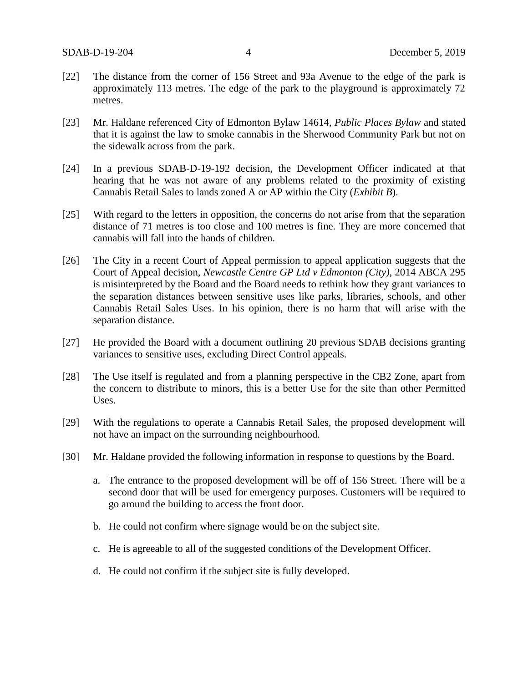- [22] The distance from the corner of 156 Street and 93a Avenue to the edge of the park is approximately 113 metres. The edge of the park to the playground is approximately 72 metres.
- [23] Mr. Haldane referenced City of Edmonton Bylaw 14614, *Public Places Bylaw* and stated that it is against the law to smoke cannabis in the Sherwood Community Park but not on the sidewalk across from the park.
- [24] In a previous SDAB-D-19-192 decision, the Development Officer indicated at that hearing that he was not aware of any problems related to the proximity of existing Cannabis Retail Sales to lands zoned A or AP within the City (*Exhibit B*).
- [25] With regard to the letters in opposition, the concerns do not arise from that the separation distance of 71 metres is too close and 100 metres is fine. They are more concerned that cannabis will fall into the hands of children.
- [26] The City in a recent Court of Appeal permission to appeal application suggests that the Court of Appeal decision, *Newcastle Centre GP Ltd v Edmonton (City),* 2014 ABCA 295 is misinterpreted by the Board and the Board needs to rethink how they grant variances to the separation distances between sensitive uses like parks, libraries, schools, and other Cannabis Retail Sales Uses. In his opinion, there is no harm that will arise with the separation distance.
- [27] He provided the Board with a document outlining 20 previous SDAB decisions granting variances to sensitive uses, excluding Direct Control appeals.
- [28] The Use itself is regulated and from a planning perspective in the CB2 Zone, apart from the concern to distribute to minors, this is a better Use for the site than other Permitted Uses.
- [29] With the regulations to operate a Cannabis Retail Sales, the proposed development will not have an impact on the surrounding neighbourhood.
- [30] Mr. Haldane provided the following information in response to questions by the Board.
	- a. The entrance to the proposed development will be off of 156 Street. There will be a second door that will be used for emergency purposes. Customers will be required to go around the building to access the front door.
	- b. He could not confirm where signage would be on the subject site.
	- c. He is agreeable to all of the suggested conditions of the Development Officer.
	- d. He could not confirm if the subject site is fully developed.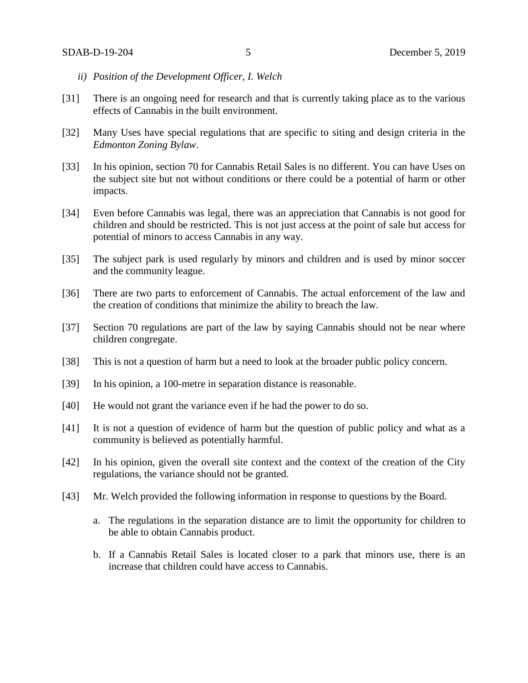- *ii) Position of the Development Officer, I. Welch*
- [31] There is an ongoing need for research and that is currently taking place as to the various effects of Cannabis in the built environment.
- [32] Many Uses have special regulations that are specific to siting and design criteria in the *Edmonton Zoning Bylaw*.
- [33] In his opinion, section 70 for Cannabis Retail Sales is no different. You can have Uses on the subject site but not without conditions or there could be a potential of harm or other impacts.
- [34] Even before Cannabis was legal, there was an appreciation that Cannabis is not good for children and should be restricted. This is not just access at the point of sale but access for potential of minors to access Cannabis in any way.
- [35] The subject park is used regularly by minors and children and is used by minor soccer and the community league.
- [36] There are two parts to enforcement of Cannabis. The actual enforcement of the law and the creation of conditions that minimize the ability to breach the law.
- [37] Section 70 regulations are part of the law by saying Cannabis should not be near where children congregate.
- [38] This is not a question of harm but a need to look at the broader public policy concern.
- [39] In his opinion, a 100-metre in separation distance is reasonable.
- [40] He would not grant the variance even if he had the power to do so.
- [41] It is not a question of evidence of harm but the question of public policy and what as a community is believed as potentially harmful.
- [42] In his opinion, given the overall site context and the context of the creation of the City regulations, the variance should not be granted.
- [43] Mr. Welch provided the following information in response to questions by the Board.
	- a. The regulations in the separation distance are to limit the opportunity for children to be able to obtain Cannabis product.
	- b. If a Cannabis Retail Sales is located closer to a park that minors use, there is an increase that children could have access to Cannabis.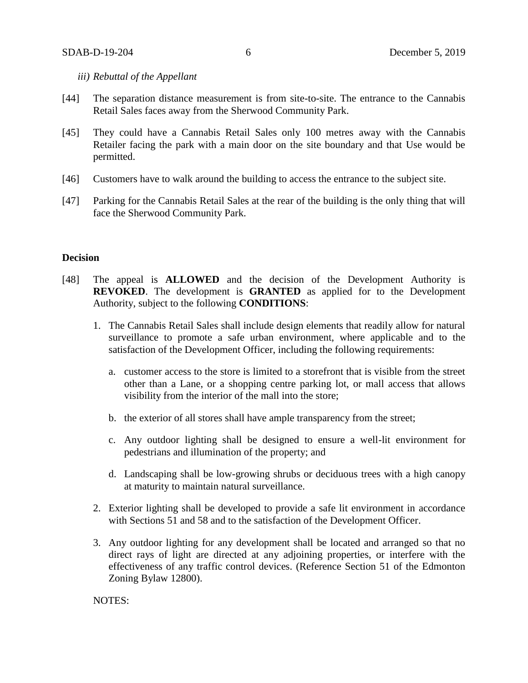#### *iii) Rebuttal of the Appellant*

- [44] The separation distance measurement is from site-to-site. The entrance to the Cannabis Retail Sales faces away from the Sherwood Community Park.
- [45] They could have a Cannabis Retail Sales only 100 metres away with the Cannabis Retailer facing the park with a main door on the site boundary and that Use would be permitted.
- [46] Customers have to walk around the building to access the entrance to the subject site.
- [47] Parking for the Cannabis Retail Sales at the rear of the building is the only thing that will face the Sherwood Community Park.

#### **Decision**

- [48] The appeal is **ALLOWED** and the decision of the Development Authority is **REVOKED**. The development is **GRANTED** as applied for to the Development Authority, subject to the following **CONDITIONS**:
	- 1. The Cannabis Retail Sales shall include design elements that readily allow for natural surveillance to promote a safe urban environment, where applicable and to the satisfaction of the Development Officer, including the following requirements:
		- a. customer access to the store is limited to a storefront that is visible from the street other than a Lane, or a shopping centre parking lot, or mall access that allows visibility from the interior of the mall into the store;
		- b. the exterior of all stores shall have ample transparency from the street;
		- c. Any outdoor lighting shall be designed to ensure a well-lit environment for pedestrians and illumination of the property; and
		- d. Landscaping shall be low-growing shrubs or deciduous trees with a high canopy at maturity to maintain natural surveillance.
	- 2. Exterior lighting shall be developed to provide a safe lit environment in accordance with Sections 51 and 58 and to the satisfaction of the Development Officer.
	- 3. Any outdoor lighting for any development shall be located and arranged so that no direct rays of light are directed at any adjoining properties, or interfere with the effectiveness of any traffic control devices. (Reference Section 51 of the Edmonton Zoning Bylaw 12800).

NOTES: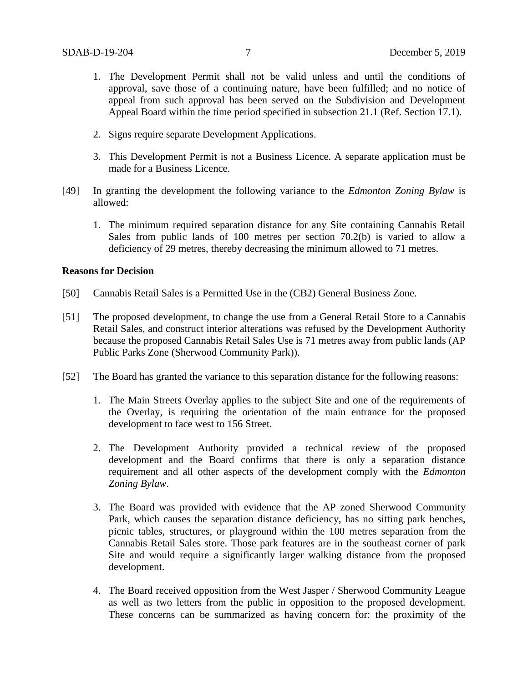- 1. The Development Permit shall not be valid unless and until the conditions of approval, save those of a continuing nature, have been fulfilled; and no notice of appeal from such approval has been served on the Subdivision and Development Appeal Board within the time period specified in subsection 21.1 (Ref. Section 17.1).
- 2. Signs require separate Development Applications.
- 3. This Development Permit is not a Business Licence. A separate application must be made for a Business Licence.
- [49] In granting the development the following variance to the *Edmonton Zoning Bylaw* is allowed:
	- 1. The minimum required separation distance for any Site containing Cannabis Retail Sales from public lands of 100 metres per section 70.2(b) is varied to allow a deficiency of 29 metres, thereby decreasing the minimum allowed to 71 metres.

#### **Reasons for Decision**

- [50] Cannabis Retail Sales is a Permitted Use in the (CB2) General Business Zone.
- [51] The proposed development, to change the use from a General Retail Store to a Cannabis Retail Sales, and construct interior alterations was refused by the Development Authority because the proposed Cannabis Retail Sales Use is 71 metres away from public lands (AP Public Parks Zone (Sherwood Community Park)).
- [52] The Board has granted the variance to this separation distance for the following reasons:
	- 1. The Main Streets Overlay applies to the subject Site and one of the requirements of the Overlay, is requiring the orientation of the main entrance for the proposed development to face west to 156 Street.
	- 2. The Development Authority provided a technical review of the proposed development and the Board confirms that there is only a separation distance requirement and all other aspects of the development comply with the *Edmonton Zoning Bylaw*.
	- 3. The Board was provided with evidence that the AP zoned Sherwood Community Park, which causes the separation distance deficiency, has no sitting park benches, picnic tables, structures, or playground within the 100 metres separation from the Cannabis Retail Sales store. Those park features are in the southeast corner of park Site and would require a significantly larger walking distance from the proposed development.
	- 4. The Board received opposition from the West Jasper / Sherwood Community League as well as two letters from the public in opposition to the proposed development. These concerns can be summarized as having concern for: the proximity of the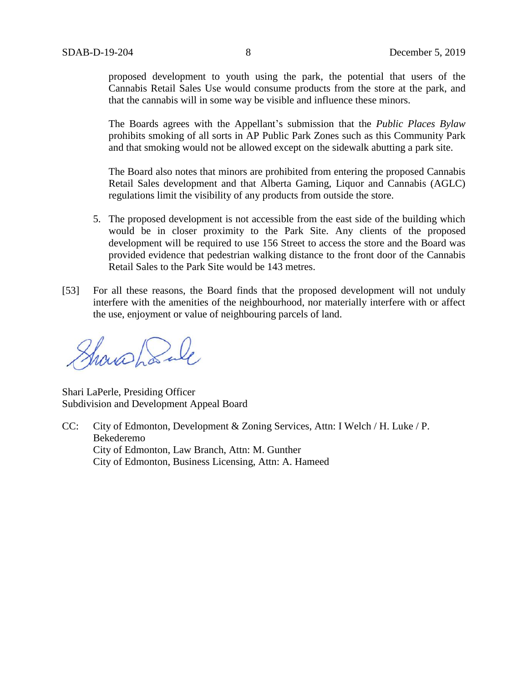proposed development to youth using the park, the potential that users of the Cannabis Retail Sales Use would consume products from the store at the park, and that the cannabis will in some way be visible and influence these minors.

The Boards agrees with the Appellant's submission that the *Public Places Bylaw* prohibits smoking of all sorts in AP Public Park Zones such as this Community Park and that smoking would not be allowed except on the sidewalk abutting a park site.

The Board also notes that minors are prohibited from entering the proposed Cannabis Retail Sales development and that Alberta Gaming, Liquor and Cannabis (AGLC) regulations limit the visibility of any products from outside the store.

- 5. The proposed development is not accessible from the east side of the building which would be in closer proximity to the Park Site. Any clients of the proposed development will be required to use 156 Street to access the store and the Board was provided evidence that pedestrian walking distance to the front door of the Cannabis Retail Sales to the Park Site would be 143 metres.
- [53] For all these reasons, the Board finds that the proposed development will not unduly interfere with the amenities of the neighbourhood, nor materially interfere with or affect the use, enjoyment or value of neighbouring parcels of land.

Showshanle

Shari LaPerle, Presiding Officer Subdivision and Development Appeal Board

CC: City of Edmonton, Development & Zoning Services, Attn: I Welch / H. Luke / P. Bekederemo City of Edmonton, Law Branch, Attn: M. Gunther City of Edmonton, Business Licensing, Attn: A. Hameed